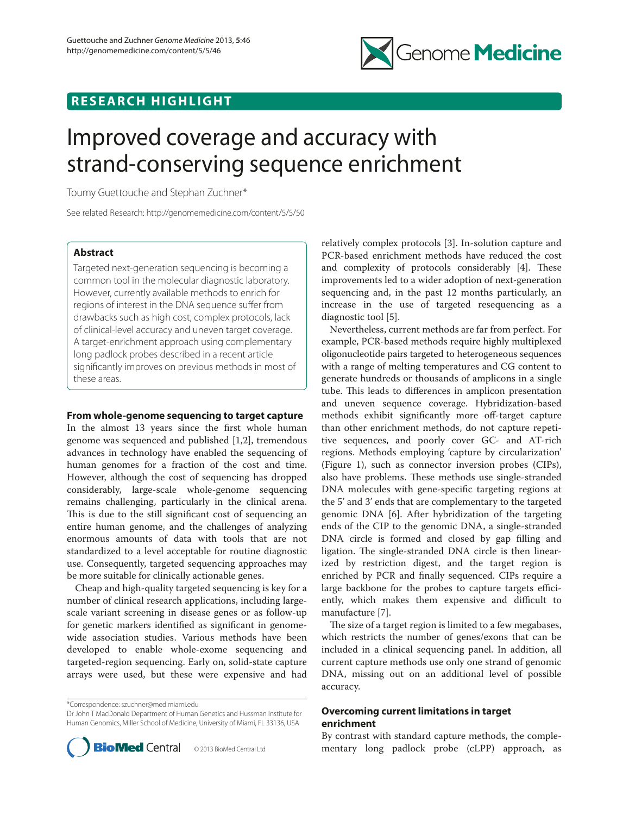

# **RESEARCH HIGHLIGHT**

# Improved coverage and accuracy with strand-conserving sequence enrichment

Toumy Guettouche and Stephan Zuchner\*

See related Research: http://genomemedicine.com/content/5/5/50

# **Abstract**

Targeted next-generation sequencing is becoming a common tool in the molecular diagnostic laboratory. However, currently available methods to enrich for regions of interest in the DNA sequence suffer from drawbacks such as high cost, complex protocols, lack of clinical-level accuracy and uneven target coverage. A target-enrichment approach using complementary long padlock probes described in a recent article significantly improves on previous methods in most of these areas.

### **From whole-genome sequencing to target capture**

In the almost 13 years since the first whole human genome was sequenced and published [1,2], tremendous advances in technology have enabled the sequencing of human genomes for a fraction of the cost and time. However, although the cost of sequencing has dropped considerably, large-scale whole-genome sequencing remains challenging, particularly in the clinical arena. This is due to the still significant cost of sequencing an entire human genome, and the challenges of analyzing enormous amounts of data with tools that are not standardized to a level acceptable for routine diagnostic use. Consequently, targeted sequencing approaches may be more suitable for clinically actionable genes.

Cheap and high-quality targeted sequencing is key for a number of clinical research applications, including largescale variant screening in disease genes or as follow-up for genetic markers identified as significant in genomewide association studies. Various methods have been developed to enable whole-exome sequencing and targeted-region sequencing. Early on, solid-state capture arrays were used, but these were expensive and had

\*Correspondence: szuchner@med.miami.edu

Dr John T MacDonald Department of Human Genetics and Hussman Institute for Human Genomics, Miller School of Medicine, University of Miami, FL 33136, USA



relatively complex protocols [3]. In-solution capture and PCR-based enrichment methods have reduced the cost and complexity of protocols considerably  $[4]$ . These improvements led to a wider adoption of next-generation sequencing and, in the past 12 months particularly, an increase in the use of targeted resequencing as a diagnostic tool [5].

Nevertheless, current methods are far from perfect. For example, PCR-based methods require highly multiplexed oligonucleotide pairs targeted to heterogeneous sequences with a range of melting temperatures and CG content to generate hundreds or thousands of amplicons in a single tube. This leads to differences in amplicon presentation and uneven sequence coverage. Hybridization-based methods exhibit significantly more off-target capture than other enrichment methods, do not capture repetitive sequences, and poorly cover GC- and AT-rich regions. Methods employing 'capture by circularization' (Figure 1), such as connector inversion probes (CIPs), also have problems. These methods use single-stranded DNA molecules with gene-specific targeting regions at the 5' and 3' ends that are complementary to the targeted genomic DNA [6]. After hybridization of the targeting ends of the CIP to the genomic DNA, a single-stranded DNA circle is formed and closed by gap filling and ligation. The single-stranded DNA circle is then linearized by restriction digest, and the target region is enriched by PCR and finally sequenced. CIPs require a large backbone for the probes to capture targets efficiently, which makes them expensive and difficult to manufacture [7].

The size of a target region is limited to a few megabases, which restricts the number of genes/exons that can be included in a clinical sequencing panel. In addition, all current capture methods use only one strand of genomic DNA, missing out on an additional level of possible accuracy.

## **Overcoming current limitations in target enrichment**

By contrast with standard capture methods, the complementary long padlock probe (cLPP) approach, as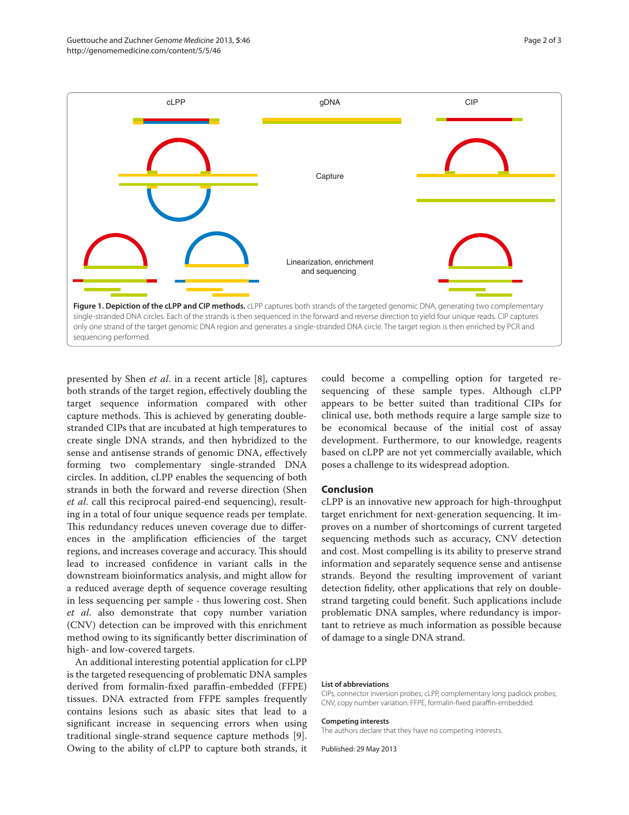

presented by Shen *et al*. in a recent article [8], captures both strands of the target region, effectively doubling the target sequence information compared with other capture methods. This is achieved by generating doublestranded CIPs that are incubated at high temperatures to create single DNA strands, and then hybridized to the sense and antisense strands of genomic DNA, effectively forming two complementary single-stranded DNA circles. In addition, cLPP enables the sequencing of both strands in both the forward and reverse direction (Shen *et al*. call this reciprocal paired-end sequencing), resulting in a total of four unique sequence reads per template. This redundancy reduces uneven coverage due to differences in the amplification efficiencies of the target regions, and increases coverage and accuracy. This should lead to increased confidence in variant calls in the downstream bioinformatics analysis, and might allow for a reduced average depth of sequence coverage resulting in less sequencing per sample - thus lowering cost. Shen *et al*. also demonstrate that copy number variation (CNV) detection can be improved with this enrichment method owing to its significantly better discrimination of high- and low-covered targets.

An additional interesting potential application for cLPP is the targeted resequencing of problematic DNA samples derived from formalin-fixed paraffin-embedded (FFPE) tissues. DNA extracted from FFPE samples frequently contains lesions such as abasic sites that lead to a significant increase in sequencing errors when using traditional single-strand sequence capture methods [9]. Owing to the ability of cLPP to capture both strands, it

could become a compelling option for targeted resequencing of these sample types. Although cLPP appears to be better suited than traditional CIPs for clinical use, both methods require a large sample size to be economical because of the initial cost of assay development. Furthermore, to our knowledge, reagents based on cLPP are not yet commercially available, which poses a challenge to its widespread adoption.

#### **Conclusion**

cLPP is an innovative new approach for high-throughput target enrichment for next-generation sequencing. It improves on a number of shortcomings of current targeted sequencing methods such as accuracy, CNV detection and cost. Most compelling is its ability to preserve strand information and separately sequence sense and antisense strands. Beyond the resulting improvement of variant detection fidelity, other applications that rely on doublestrand targeting could benefit. Such applications include problematic DNA samples, where redundancy is important to retrieve as much information as possible because of damage to a single DNA strand.

#### **List of abbreviations**

CIPs, connector inversion probes; cLPP, complementary long padlock probes; CNV, copy number variation: FFPE, formalin-fixed paraffin-embedded.

#### **Competing interests**

The authors declare that they have no competing interests.

Published: 29 May 2013